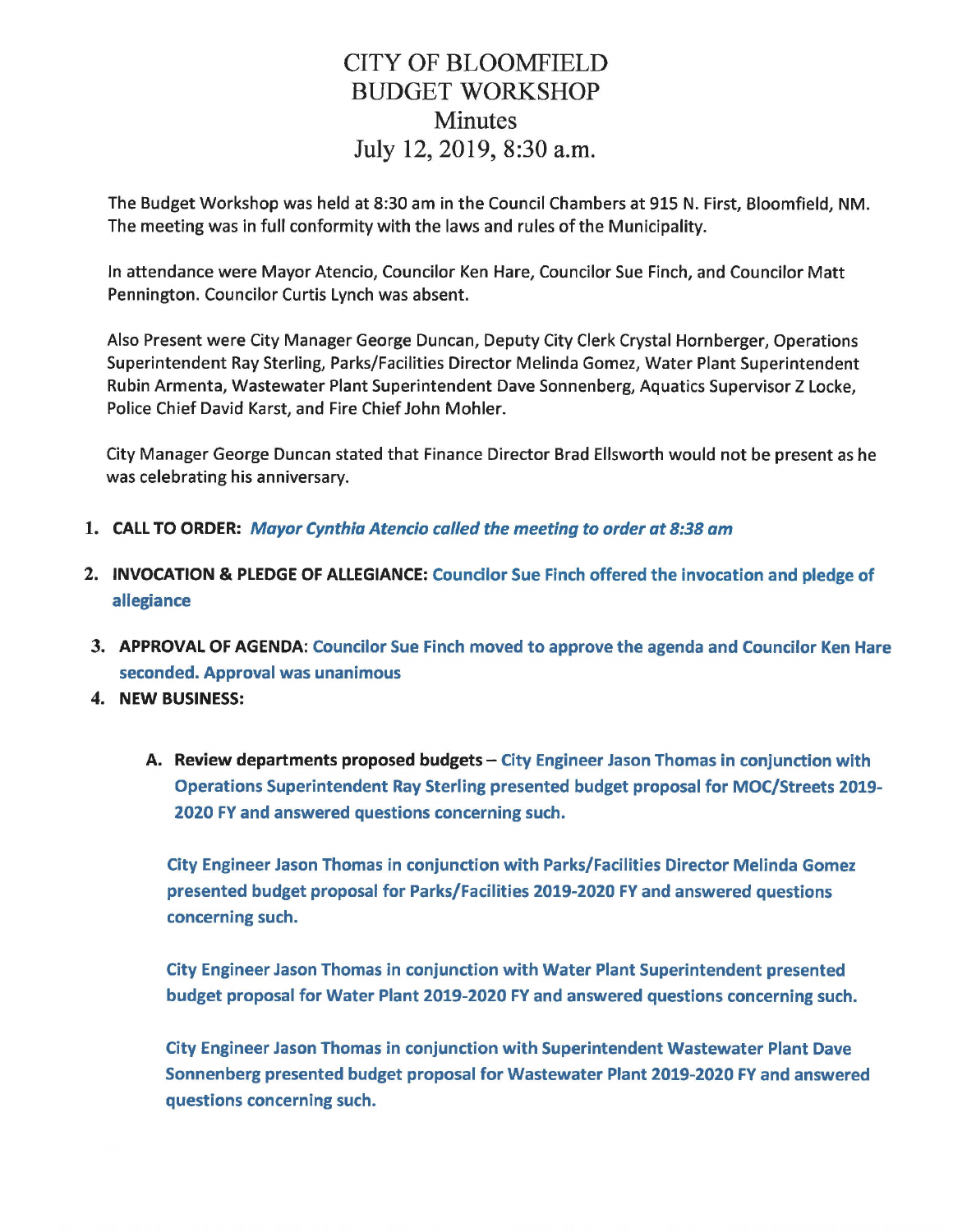## CITY OF BLOOMFIELD BUDGET WORKSHOP Minutes July 12, 2019, 8:30 a.m.

The Budget Workshop was held at 8:30 am in the Council Chambers at 915 N. First, Bloomfield, NM. The meeting was in full conformity with the laws and rules of the Municipality.

In attendance were Mayor Atencio, Councilor Ken Hare, Councilor Sue Finch, and Councilor Matt Pennington. Councilor Curtis Lynch was absent.

Also Present were City Manager George Duncan, Deputy City Clerk Crystal Hornberger, Operations Superintendent Ray Sterling, Parks/Facilities Director Melinda Gomez, Water Plant Superintendent Rubin Armenta, Wastewater Plant Superintendent Dave Sonnenberg, Aquatics Supervisor Z Locke, Police Chief David Karst, and Fire Chief John Mohler.

City Manager George Duncan stated that Finance Director Brad Ellsworth would not be present as he was celebrating his anniversary.

- 1. CALL TO ORDER: Mayor Cynthia Atencio called the meeting to order at 8:38 am
- 2. INVOCATION & PLEDGE OF ALLEGIANCE: Councilor Sue Finch offered the invocation and pledge of allegiance
- 3. APPROVAL OF AGENDA: Councilor Sue Finch moved to approve the agenda and Councilor Ken Hare seconded. Approval was unanimous
- 4. NEW BUSINESS:
	- A. Review departments proposed budgets City Engineer Jason Thomas in conjunction with Operations Superintendent Ray Sterling presented budget proposal for MOC/Streets 2019- 2020 FY and answered questions concerning such.

City Engineer Jason Thomas in conjunction with Parks/Facilities Director Melinda Gomez presented budget proposal for Parks/Facilities 2019-2020 FY and answered questions concerning such.

City Engineer Jason Thomas in conjunction with Water Plant Superintendent presented budget proposal for Water Plant 2019-2020 FY and answered questions concerning such.

City Engineer Jason Thomas in conjunction with Superintendent Wastewater Plant Dave Sonnenberg presented budget proposal for Wastewater Plant 2019-2020 FY and answered questions concerning such.